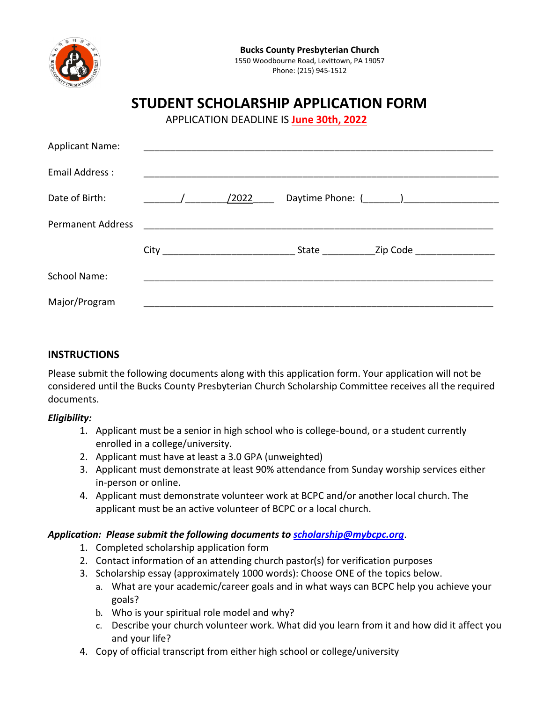

# **STUDENT SCHOLARSHIP APPLICATION FORM**

APPLICATION DEADLINE IS **June 30th, 2022**

| <b>Applicant Name:</b>   |       |       |                                                                                                                |
|--------------------------|-------|-------|----------------------------------------------------------------------------------------------------------------|
| Email Address:           |       |       |                                                                                                                |
| Date of Birth:           | /2022 |       |                                                                                                                |
| <b>Permanent Address</b> |       |       |                                                                                                                |
|                          |       | State | Zip Code and the control of the control of the control of the control of the control of the control of the con |
| <b>School Name:</b>      |       |       |                                                                                                                |
| Major/Program            |       |       |                                                                                                                |

## **INSTRUCTIONS**

Please submit the following documents along with this application form. Your application will not be considered until the Bucks County Presbyterian Church Scholarship Committee receives all the required documents.

## *Eligibility:*

- 1. Applicant must be a senior in high school who is college-bound, or a student currently enrolled in a college/university.
- 2. Applicant must have at least a 3.0 GPA (unweighted)
- 3. Applicant must demonstrate at least 90% attendance from Sunday worship services either in-person or online.
- 4. Applicant must demonstrate volunteer work at BCPC and/or another local church. The applicant must be an active volunteer of BCPC or a local church.

## *Application: Please submit the following documents t[o scholarship@mybcpc.org](mailto:scholarship@mybcpc.org)*.

- 1. Completed scholarship application form
- 2. Contact information of an attending church pastor(s) for verification purposes
- 3. Scholarship essay (approximately 1000 words): Choose ONE of the topics below.
	- a. What are your academic/career goals and in what ways can BCPC help you achieve your goals?
	- b. Who is your spiritual role model and why?
	- c. Describe your church volunteer work. What did you learn from it and how did it affect you and your life?
- 4. Copy of official transcript from either high school or college/university